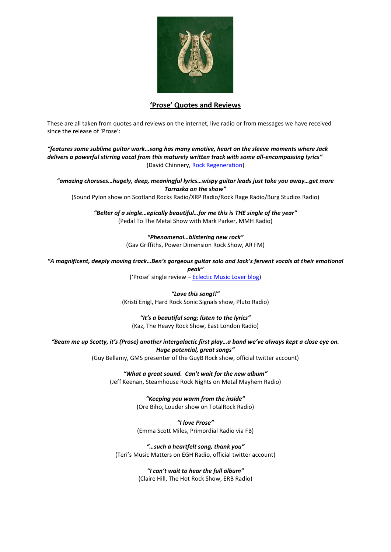

## **'Prose' Quotes and Reviews**

These are all taken from quotes and reviews on the internet, live radio or from messages we have received since the release of 'Prose':

*"features some sublime guitar work…song has many emotive, heart on the sleeve moments where Jack delivers a powerful stirring vocal from this maturely written track with some all-encompassing lyrics"* (David Chinnery[, Rock Regeneration\)](https://www.rock-regeneration.co.uk/2021/11/single-prose-by-tarraska/)

*"amazing choruses…hugely, deep, meaningful lyrics…wispy guitar leads just take you away…get more Tarraska on the show"*

(Sound Pylon show on Scotland Rocks Radio/XRP Radio/Rock Rage Radio/Burg Studios Radio)

*"Belter of a single…epically beautiful…for me this is THE single of the year"* (Pedal To The Metal Show with Mark Parker, MMH Radio)

> *"Phenomenal…blistering new rock"* (Gav Griffiths, Power Dimension Rock Show, AR FM)

*"A magnificent, deeply moving track…Ben's gorgeous guitar solo and Jack's fervent vocals at their emotional peak"*

('Prose' single review – [Eclectic Music Lover blog\)](https://eclecticmusiclover.com/2021/12/05/tarraska-single-review-prose/)

*"Love this song!!"* (Kristi Enigl, Hard Rock Sonic Signals show, Pluto Radio)

*"It's a beautiful song; listen to the lyrics"* (Kaz, The Heavy Rock Show, East London Radio)

*"Beam me up Scotty, it's (Prose) another intergalactic first play…a band we've always kept a close eye on. Huge potential, great songs"*

(Guy Bellamy, GMS presenter of the GuyB Rock show, official twitter account)

*"What a great sound. Can't wait for the new album"* (Jeff Keenan, Steamhouse Rock Nights on Metal Mayhem Radio)

> *"Keeping you warm from the inside"* (Ore Biho, Louder show on TotalRock Radio)

> *"I love Prose"* (Emma Scott Miles, Primordial Radio via FB)

*"…such a heartfelt song, thank you"* (Teri's Music Matters on EGH Radio, official twitter account)

> *"I can't wait to hear the full album"* (Claire Hill, The Hot Rock Show, ERB Radio)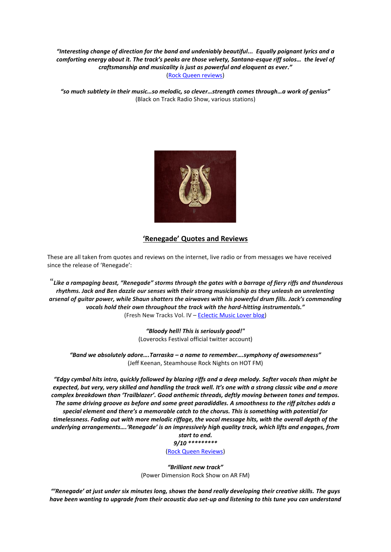*"Interesting change of direction for the band and undeniably beautiful... Equally poignant lyrics and a comforting energy about it. The track's peaks are those velvety, Santana-esque riff solos… the level of craftsmanship and musicality is just as powerful and eloquent as ever."* [\(Rock Queen reviews\)](https://jennytate.wordpress.com/2021/12/12/tarraska-prose/)

*"so much subtlety in their music…so melodic, so clever…strength comes through…a work of genius"* (Black on Track Radio Show, various stations)



## **'Renegade' Quotes and Reviews**

These are all taken from quotes and reviews on the internet, live radio or from messages we have received since the release of 'Renegade':

"*Like a rampaging beast, "Renegade" storms through the gates with a barrage of fiery riffs and thunderous rhythms. Jack and Ben dazzle our senses with their strong musicianship as they unleash an unrelenting arsenal of guitar power, while Shaun shatters the airwaves with his powerful drum fills. Jack's commanding vocals hold their own throughout the track with the hard-hitting instrumentals."* (Fresh New Tracks Vol. IV – [Eclectic Music Lover blog\)](https://eclecticmusiclover.com/2021/02/16/fresh-new-tracks-vol-iv/)

> *"Bloody hell! This is seriously good!"* (Loverocks Festival official twitter account)

*"Band we absolutely adore….Tarraska – a name to remember….symphony of awesomeness"* (Jeff Keenan, Steamhouse Rock Nights on HOT FM)

*"Edgy cymbal hits intro, quickly followed by blazing riffs and a deep melody. Softer vocals than might be expected, but very, very skilled and handling the track well. It's one with a strong classic vibe and a more complex breakdown than 'Trailblazer'. Good anthemic threads, deftly moving between tones and tempos. The same driving groove as before and some great paradiddles. A smoothness to the riff pitches adds a special element and there's a memorable catch to the chorus. This is something with potential for timelessness. Fading out with more melodic riffage, the vocal message hits, with the overall depth of the underlying arrangements….'Renegade' is an impressively high quality track, which lifts and engages, from* 

*start to end. 9/10 \*\*\*\*\*\*\*\*\**

[\(Rock Queen Reviews\)](https://jennytate.wordpress.com/2020/12/16/tarraska-renegade/)

*"Brilliant new track"* (Power Dimension Rock Show on AR FM)

*"'Renegade' at just under six minutes long, shows the band really developing their creative skills. The guys have been wanting to upgrade from their acoustic duo set-up and listening to this tune you can understand*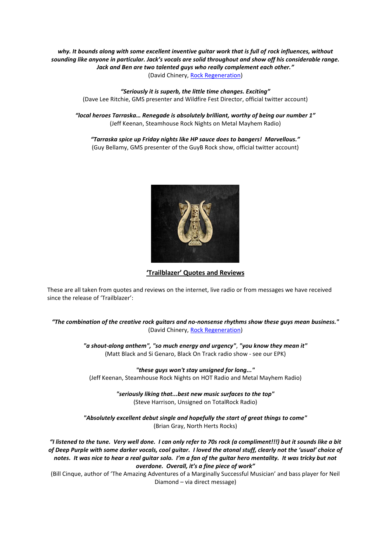*why. It bounds along with some excellent inventive guitar work that is full of rock influences, without sounding like anyone in particular. Jack's vocals are solid throughout and show off his considerable range. Jack and Ben are two talented guys who really complement each other."* (David Chinery, [Rock Regeneration\)](https://www.rock-regeneration.co.uk/2020/11/single-renegade-by-tarraska/)

> *"Seriously it is superb, the little time changes. Exciting"* (Dave Lee Ritchie, GMS presenter and Wildfire Fest Director, official twitter account)

*"local heroes Tarraska… Renegade is absolutely brilliant, worthy of being our number 1"* (Jeff Keenan, Steamhouse Rock Nights on Metal Mayhem Radio)

*"Tarraska spice up Friday nights like HP sauce does to bangers! Marvellous."* (Guy Bellamy, GMS presenter of the GuyB Rock show, official twitter account)



**'Trailblazer' Quotes and Reviews**

These are all taken from quotes and reviews on the internet, live radio or from messages we have received since the release of 'Trailblazer':

*"The combination of the creative rock guitars and no-nonsense rhythms show these guys mean business."* (David Chinery, [Rock Regeneration\)](https://www.rock-regeneration.co.uk/2020/05/single-trailbalzer-by-tarraska/)

> *"a shout-along anthem", "so much energy and urgency"*, *"you know they mean it"* (Matt Black and Si Genaro, Black On Track radio show - see our EPK)

*"these guys won't stay unsigned for long..."* (Jeff Keenan, Steamhouse Rock Nights on HOT Radio and Metal Mayhem Radio)

> *"seriously liking that...best new music surfaces to the top"* (Steve Harrison, Unsigned on TotalRock Radio)

*"Absolutely excellent debut single and hopefully the start of great things to come"* (Brian Gray, North Herts Rocks)

*"I listened to the tune. Very well done. I can only refer to 70s rock (a compliment!!!) but it sounds like a bit of Deep Purple with some darker vocals, cool guitar. I loved the atonal stuff, clearly not the 'usual' choice of notes. It was nice to hear a real guitar solo. I'm a fan of the guitar hero mentality. It was tricky but not overdone. Overall, it's a fine piece of work"*

(Bill Cinque, author of 'The Amazing Adventures of a Marginally Successful Musician' and bass player for Neil Diamond – via direct message)